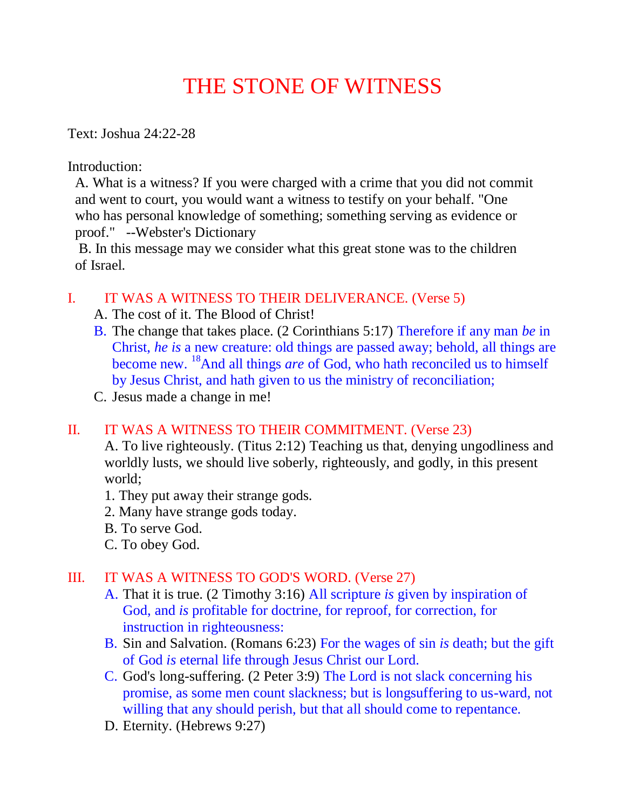## THE STONE OF WITNESS

Text: Joshua 24:22-28

Introduction:

 A. What is a witness? If you were charged with a crime that you did not commit and went to court, you would want a witness to testify on your behalf. "One who has personal knowledge of something; something serving as evidence or proof." --Webster's Dictionary

 B. In this message may we consider what this great stone was to the children of Israel.

## I. IT WAS A WITNESS TO THEIR DELIVERANCE. (Verse 5)

- A. The cost of it. The Blood of Christ!
- B. The change that takes place. (2 Corinthians 5:17) Therefore if any man *be* in Christ, *he is* a new creature: old things are passed away; behold, all things are become new. <sup>18</sup>And all things *are* of God, who hath reconciled us to himself by Jesus Christ, and hath given to us the ministry of reconciliation;
- C. Jesus made a change in me!

## II. IT WAS A WITNESS TO THEIR COMMITMENT. (Verse 23)

 A. To live righteously. (Titus 2:12) Teaching us that, denying ungodliness and worldly lusts, we should live soberly, righteously, and godly, in this present world;

- 1. They put away their strange gods.
- 2. Many have strange gods today.
- B. To serve God.
- C. To obey God.

## III. IT WAS A WITNESS TO GOD'S WORD. (Verse 27)

- A. That it is true. (2 Timothy 3:16) All scripture *is* given by inspiration of God, and *is* profitable for doctrine, for reproof, for correction, for instruction in righteousness:
- B. Sin and Salvation. (Romans 6:23) For the wages of sin *is* death; but the gift of God *is* eternal life through Jesus Christ our Lord.
- C. God's long-suffering. (2 Peter 3:9) The Lord is not slack concerning his promise, as some men count slackness; but is longsuffering to us-ward, not willing that any should perish, but that all should come to repentance.
- D. Eternity. (Hebrews 9:27)